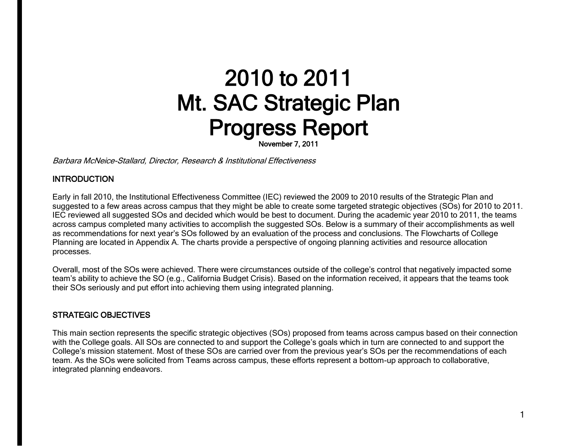# 2010 to 2011 Mt. SAC Strategic Plan Progress Report

November 7, 2011

Barbara McNeice-Stallard, Director, Research & Institutional Effectiveness

# **INTRODUCTION**

 Early in fall 2010, the Institutional Effectiveness Committee (IEC) reviewed the 2009 to 2010 results of the Strategic Plan and suggested to a few areas across campus that they might be able to create some targeted strategic objectives (SOs) for 2010 to 2011. IEC reviewed all suggested SOs and decided which would be best to document. During the academic year 2010 to 2011, the teams across campus completed many activities to accomplish the suggested SOs. Below is a summary of their accomplishments as well as recommendations for next year's SOs followed by an evaluation of the process and conclusions. The Flowcharts of College Planning are located in Appendix A. The charts provide a perspective of ongoing planning activities and resource allocation processes.

 Overall, most of the SOs were achieved. There were circumstances outside of the college's control that negatively impacted some team's ability to achieve the SO (e.g., California Budget Crisis). Based on the information received, it appears that the teams took their SOs seriously and put effort into achieving them using integrated planning.

#### STRATEGIC OBJECTIVES

 This main section represents the specific strategic objectives (SOs) proposed from teams across campus based on their connection with the College goals. All SOs are connected to and support the College's goals which in turn are connected to and support the College's mission statement. Most of these SOs are carried over from the previous year's SOs per the recommendations of each team. As the SOs were solicited from Teams across campus, these efforts represent a bottom-up approach to collaborative, integrated planning endeavors.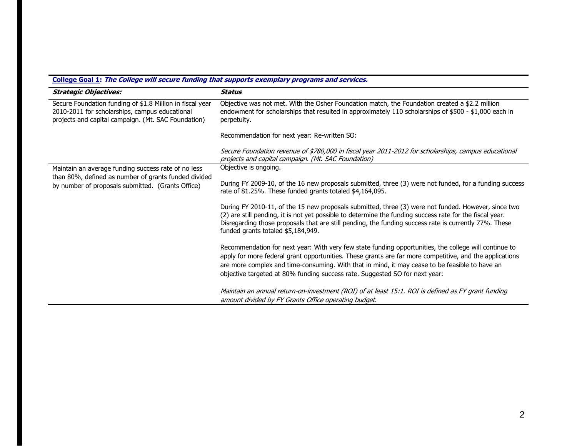# **College Goal 1: The College will secure funding that supports exemplary programs and services.**

| <b>Strategic Objectives:</b>                                                                                                                                       | <b>Status</b>                                                                                                                                                                                                                                                                                                                                                                                     |
|--------------------------------------------------------------------------------------------------------------------------------------------------------------------|---------------------------------------------------------------------------------------------------------------------------------------------------------------------------------------------------------------------------------------------------------------------------------------------------------------------------------------------------------------------------------------------------|
| Secure Foundation funding of \$1.8 Million in fiscal year<br>2010-2011 for scholarships, campus educational<br>projects and capital campaign. (Mt. SAC Foundation) | Objective was not met. With the Osher Foundation match, the Foundation created a \$2.2 million<br>endowment for scholarships that resulted in approximately 110 scholarships of \$500 - \$1,000 each in<br>perpetuity.                                                                                                                                                                            |
|                                                                                                                                                                    | Recommendation for next year: Re-written SO:                                                                                                                                                                                                                                                                                                                                                      |
|                                                                                                                                                                    | Secure Foundation revenue of \$780,000 in fiscal year 2011-2012 for scholarships, campus educational<br>projects and capital campaign. (Mt. SAC Foundation)                                                                                                                                                                                                                                       |
| Maintain an average funding success rate of no less                                                                                                                | Objective is ongoing.                                                                                                                                                                                                                                                                                                                                                                             |
| than 80%, defined as number of grants funded divided<br>by number of proposals submitted. (Grants Office)                                                          | During FY 2009-10, of the 16 new proposals submitted, three (3) were not funded, for a funding success<br>rate of 81.25%. These funded grants totaled \$4,164,095.                                                                                                                                                                                                                                |
|                                                                                                                                                                    | During FY 2010-11, of the 15 new proposals submitted, three (3) were not funded. However, since two<br>(2) are still pending, it is not yet possible to determine the funding success rate for the fiscal year.<br>Disregarding those proposals that are still pending, the funding success rate is currently 77%. These<br>funded grants totaled \$5,184,949.                                    |
|                                                                                                                                                                    | Recommendation for next year: With very few state funding opportunities, the college will continue to<br>apply for more federal grant opportunities. These grants are far more competitive, and the applications<br>are more complex and time-consuming. With that in mind, it may cease to be feasible to have an<br>objective targeted at 80% funding success rate. Suggested SO for next year: |
|                                                                                                                                                                    | Maintain an annual return-on-investment (ROI) of at least 15:1. ROI is defined as FY grant funding<br>amount divided by FY Grants Office operating budget.                                                                                                                                                                                                                                        |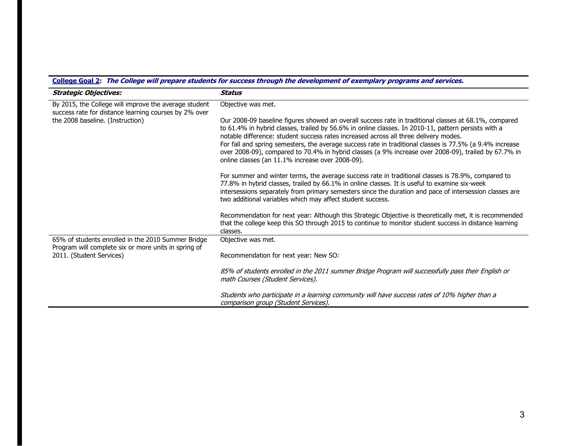| <b>Strategic Objectives:</b>                                                                                                                       | Status                                                                                                                                                                                                                                                                                                                                                                                                                                                                                                                                                                       |
|----------------------------------------------------------------------------------------------------------------------------------------------------|------------------------------------------------------------------------------------------------------------------------------------------------------------------------------------------------------------------------------------------------------------------------------------------------------------------------------------------------------------------------------------------------------------------------------------------------------------------------------------------------------------------------------------------------------------------------------|
| By 2015, the College will improve the average student<br>success rate for distance learning courses by 2% over<br>the 2008 baseline. (Instruction) | Objective was met.                                                                                                                                                                                                                                                                                                                                                                                                                                                                                                                                                           |
|                                                                                                                                                    | Our 2008-09 baseline figures showed an overall success rate in traditional classes at 68.1%, compared<br>to 61.4% in hybrid classes, trailed by 56.6% in online classes. In 2010-11, pattern persists with a<br>notable difference: student success rates increased across all three delivery modes.<br>For fall and spring semesters, the average success rate in traditional classes is 77.5% (a 9.4% increase<br>over 2008-09), compared to 70.4% in hybrid classes (a 9% increase over 2008-09), trailed by 67.7% in<br>online classes (an 11.1% increase over 2008-09). |
|                                                                                                                                                    | For summer and winter terms, the average success rate in traditional classes is 78.9%, compared to<br>77.8% in hybrid classes, trailed by 66.1% in online classes. It is useful to examine six-week<br>intersessions separately from primary semesters since the duration and pace of intersession classes are<br>two additional variables which may affect student success.                                                                                                                                                                                                 |
|                                                                                                                                                    | Recommendation for next year: Although this Strategic Objective is theoretically met, it is recommended<br>that the college keep this SO through 2015 to continue to monitor student success in distance learning<br>classes.                                                                                                                                                                                                                                                                                                                                                |
| 65% of students enrolled in the 2010 Summer Bridge<br>Program will complete six or more units in spring of<br>2011. (Student Services)             | Objective was met.                                                                                                                                                                                                                                                                                                                                                                                                                                                                                                                                                           |
|                                                                                                                                                    | Recommendation for next year: New SO:                                                                                                                                                                                                                                                                                                                                                                                                                                                                                                                                        |
|                                                                                                                                                    | 85% of students enrolled in the 2011 summer Bridge Program will successfully pass their English or<br>math Courses (Student Services).                                                                                                                                                                                                                                                                                                                                                                                                                                       |
|                                                                                                                                                    | Students who participate in a learning community will have success rates of 10% higher than a<br>comparison group (Student Services).                                                                                                                                                                                                                                                                                                                                                                                                                                        |

# **College Goal 2: The College will prepare students for success through the development of exemplary programs and services.**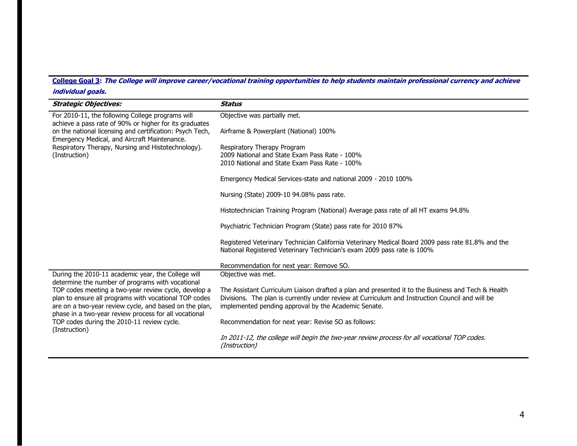**College Goal 3: The College will improve career/vocational training opportunities to help students maintain professional currency and achieve individual goals.** 

| <b>Strategic Objectives:</b>                                                                                                                                                                                           | <b>Status</b>                                                                                                                                                                |
|------------------------------------------------------------------------------------------------------------------------------------------------------------------------------------------------------------------------|------------------------------------------------------------------------------------------------------------------------------------------------------------------------------|
| For 2010-11, the following College programs will<br>achieve a pass rate of 90% or higher for its graduates<br>on the national licensing and certification: Psych Tech,<br>Emergency Medical, and Aircraft Maintenance. | Objective was partially met.                                                                                                                                                 |
|                                                                                                                                                                                                                        | Airframe & Powerplant (National) 100%                                                                                                                                        |
| Respiratory Therapy, Nursing and Histotechnology).<br>(Instruction)                                                                                                                                                    | Respiratory Therapy Program<br>2009 National and State Exam Pass Rate - 100%                                                                                                 |
|                                                                                                                                                                                                                        | 2010 National and State Exam Pass Rate - 100%                                                                                                                                |
|                                                                                                                                                                                                                        | Emergency Medical Services-state and national 2009 - 2010 100%                                                                                                               |
|                                                                                                                                                                                                                        | Nursing (State) 2009-10 94.08% pass rate.                                                                                                                                    |
|                                                                                                                                                                                                                        | Histotechnician Training Program (National) Average pass rate of all HT exams 94.8%                                                                                          |
|                                                                                                                                                                                                                        | Psychiatric Technician Program (State) pass rate for 2010 87%                                                                                                                |
|                                                                                                                                                                                                                        | Registered Veterinary Technician California Veterinary Medical Board 2009 pass rate 81.8% and the<br>National Registered Veterinary Technician's exam 2009 pass rate is 100% |
|                                                                                                                                                                                                                        | Recommendation for next year: Remove SO.                                                                                                                                     |
| During the 2010-11 academic year, the College will<br>determine the number of programs with vocational                                                                                                                 | Objective was met.                                                                                                                                                           |
| TOP codes meeting a two-year review cycle, develop a                                                                                                                                                                   | The Assistant Curriculum Liaison drafted a plan and presented it to the Business and Tech & Health                                                                           |
| plan to ensure all programs with vocational TOP codes<br>are on a two-year review cycle, and based on the plan,                                                                                                        | Divisions. The plan is currently under review at Curriculum and Instruction Council and will be<br>implemented pending approval by the Academic Senate.                      |
| phase in a two-year review process for all vocational                                                                                                                                                                  |                                                                                                                                                                              |
| TOP codes during the 2010-11 review cycle.<br>(Instruction)                                                                                                                                                            | Recommendation for next year: Revise SO as follows:                                                                                                                          |
|                                                                                                                                                                                                                        | In 2011-12, the college will begin the two-year review process for all vocational TOP codes.<br>(Instruction)                                                                |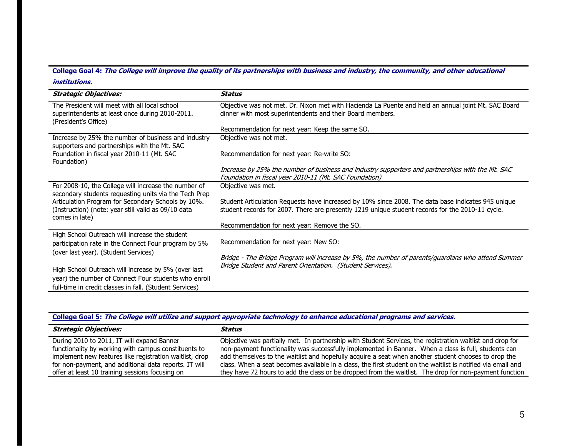#### **College Goal 4: The College will improve the quality of its partnerships with business and industry, the community, and other educational institutions.**

| <b>Strategic Objectives:</b>                                                                                                | Status                                                                                                                                                                                                 |
|-----------------------------------------------------------------------------------------------------------------------------|--------------------------------------------------------------------------------------------------------------------------------------------------------------------------------------------------------|
| The President will meet with all local school<br>superintendents at least once during 2010-2011.<br>(President's Office)    | Objective was not met. Dr. Nixon met with Hacienda La Puente and held an annual joint Mt. SAC Board<br>dinner with most superintendents and their Board members.                                       |
|                                                                                                                             | Recommendation for next year: Keep the same SO.                                                                                                                                                        |
| Increase by 25% the number of business and industry<br>supporters and partnerships with the Mt. SAC                         | Objective was not met.                                                                                                                                                                                 |
| Foundation in fiscal year 2010-11 (Mt. SAC<br>Foundation)                                                                   | Recommendation for next year: Re-write SO:                                                                                                                                                             |
|                                                                                                                             | Increase by 25% the number of business and industry supporters and partnerships with the Mt. SAC<br>Foundation in fiscal year 2010-11 (Mt. SAC Foundation)                                             |
| For 2008-10, the College will increase the number of<br>secondary students requesting units via the Tech Prep               | Objective was met.                                                                                                                                                                                     |
| Articulation Program for Secondary Schools by 10%.<br>(Instruction) (note: year still valid as 09/10 data<br>comes in late) | Student Articulation Requests have increased by 10% since 2008. The data base indicates 945 unique<br>student records for 2007. There are presently 1219 unique student records for the 2010-11 cycle. |
|                                                                                                                             | Recommendation for next year: Remove the SO.                                                                                                                                                           |
| High School Outreach will increase the student<br>participation rate in the Connect Four program by 5%                      | Recommendation for next year: New SO:                                                                                                                                                                  |
| (over last year). (Student Services)                                                                                        | Bridge - The Bridge Program will increase by 5%, the number of parents/guardians who attend Summer<br>Bridge Student and Parent Orientation. (Student Services).                                       |
| High School Outreach will increase by 5% (over last                                                                         |                                                                                                                                                                                                        |
| year) the number of Connect Four students who enroll                                                                        |                                                                                                                                                                                                        |
| full-time in credit classes in fall. (Student Services)                                                                     |                                                                                                                                                                                                        |

# **College Goal 5: The College will utilize and support appropriate technology to enhance educational programs and services.**

| Strategic Objectives:                                   | Status                                                                                                       |
|---------------------------------------------------------|--------------------------------------------------------------------------------------------------------------|
| During 2010 to 2011, IT will expand Banner              | Objective was partially met. In partnership with Student Services, the registration waitlist and drop for    |
| functionality by working with campus constituents to    | non-payment functionality was successfully implemented in Banner. When a class is full, students can         |
| implement new features like registration waitlist, drop | add themselves to the waitlist and hopefully acquire a seat when another student chooses to drop the         |
| for non-payment, and additional data reports. IT will   | class. When a seat becomes available in a class, the first student on the waitlist is notified via email and |
| offer at least 10 training sessions focusing on         | they have 72 hours to add the class or be dropped from the waitlist. The drop for non-payment function       |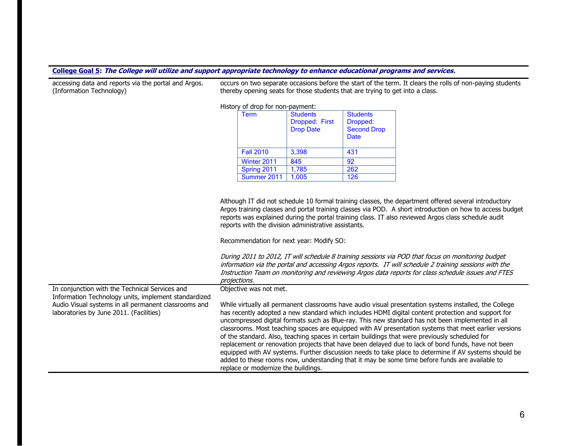#### **College Goal 5: The College will utilize and support appropriate technology to enhance educational programs and services.**

| (Information Technology)                                                                                                                                | thereby opening seats for those students that are trying to get into a class.                                                                                                                                                                                                                                                                                                                                                                                                                                                                                                                                                                                                                                                                                                                                                                                                       |  |  |  |
|---------------------------------------------------------------------------------------------------------------------------------------------------------|-------------------------------------------------------------------------------------------------------------------------------------------------------------------------------------------------------------------------------------------------------------------------------------------------------------------------------------------------------------------------------------------------------------------------------------------------------------------------------------------------------------------------------------------------------------------------------------------------------------------------------------------------------------------------------------------------------------------------------------------------------------------------------------------------------------------------------------------------------------------------------------|--|--|--|
|                                                                                                                                                         | History of drop for non-payment:                                                                                                                                                                                                                                                                                                                                                                                                                                                                                                                                                                                                                                                                                                                                                                                                                                                    |  |  |  |
|                                                                                                                                                         | <b>Students</b><br><b>Students</b><br><b>Term</b><br>Dropped: First<br>Dropped:<br><b>Second Drop</b><br><b>Drop Date</b><br><b>Date</b>                                                                                                                                                                                                                                                                                                                                                                                                                                                                                                                                                                                                                                                                                                                                            |  |  |  |
|                                                                                                                                                         | <b>Fall 2010</b><br>3,398<br>431                                                                                                                                                                                                                                                                                                                                                                                                                                                                                                                                                                                                                                                                                                                                                                                                                                                    |  |  |  |
|                                                                                                                                                         | 845<br>Winter 2011<br>$\overline{92}$                                                                                                                                                                                                                                                                                                                                                                                                                                                                                                                                                                                                                                                                                                                                                                                                                                               |  |  |  |
|                                                                                                                                                         | 262<br>1,785<br>Spring 2011                                                                                                                                                                                                                                                                                                                                                                                                                                                                                                                                                                                                                                                                                                                                                                                                                                                         |  |  |  |
|                                                                                                                                                         | 126<br>1,005<br>Summer 2011                                                                                                                                                                                                                                                                                                                                                                                                                                                                                                                                                                                                                                                                                                                                                                                                                                                         |  |  |  |
|                                                                                                                                                         |                                                                                                                                                                                                                                                                                                                                                                                                                                                                                                                                                                                                                                                                                                                                                                                                                                                                                     |  |  |  |
| In conjunction with the Technical Services and                                                                                                          | Although IT did not schedule 10 formal training classes, the department offered several introductory<br>Argos training classes and portal training classes via POD. A short introduction on how to access budget<br>reports was explained during the portal training class. IT also reviewed Argos class schedule audit<br>reports with the division administrative assistants.<br>Recommendation for next year: Modify SO:<br>During 2011 to 2012, IT will schedule 8 training sessions via POD that focus on monitoring budget<br>information via the portal and accessing Argos reports. IT will schedule 2 training sessions with the<br>Instruction Team on monitoring and reviewing Argos data reports for class schedule issues and FTES<br>projections.<br>Objective was not met.                                                                                           |  |  |  |
| Information Technology units, implement standardized<br>Audio Visual systems in all permanent classrooms and<br>laboratories by June 2011. (Facilities) | While virtually all permanent classrooms have audio visual presentation systems installed, the College<br>has recently adopted a new standard which includes HDMI digital content protection and support for<br>uncompressed digital formats such as Blue-ray. This new standard has not been implemented in all<br>classrooms. Most teaching spaces are equipped with AV presentation systems that meet earlier versions<br>of the standard. Also, teaching spaces in certain buildings that were previously scheduled for<br>replacement or renovation projects that have been delayed due to lack of bond funds, have not been<br>equipped with AV systems. Further discussion needs to take place to determine if AV systems should be<br>added to these rooms now, understanding that it may be some time before funds are available to<br>replace or modernize the buildings. |  |  |  |

accessing data and reports via the portal and Argos. occurs on two separate occasions before the start of the term. It clears the rolls of non-paying students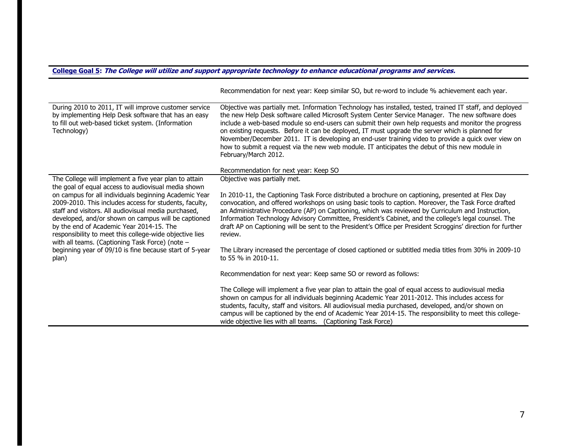#### **College Goal 5: The College will utilize and support appropriate technology to enhance educational programs and services.**

|                                                                                                                                                                                                                                                                                                                                                                                                                                                   | INCOMMINIONOMI TOI HOAT YOUT. INCOP SIMMAL SOT DUITIC WORD TO MICROGE 70 GOMEVOLIIONI CUCH YOUT.                                                                                                                                                                                                                                                                                                                                                                                                                                                                                                                                                                                                   |
|---------------------------------------------------------------------------------------------------------------------------------------------------------------------------------------------------------------------------------------------------------------------------------------------------------------------------------------------------------------------------------------------------------------------------------------------------|----------------------------------------------------------------------------------------------------------------------------------------------------------------------------------------------------------------------------------------------------------------------------------------------------------------------------------------------------------------------------------------------------------------------------------------------------------------------------------------------------------------------------------------------------------------------------------------------------------------------------------------------------------------------------------------------------|
| During 2010 to 2011, IT will improve customer service<br>by implementing Help Desk software that has an easy<br>to fill out web-based ticket system. (Information<br>Technology)                                                                                                                                                                                                                                                                  | Objective was partially met. Information Technology has installed, tested, trained IT staff, and deployed<br>the new Help Desk software called Microsoft System Center Service Manager. The new software does<br>include a web-based module so end-users can submit their own help requests and monitor the progress<br>on existing requests. Before it can be deployed, IT must upgrade the server which is planned for<br>November/December 2011. IT is developing an end-user training video to provide a quick over view on<br>how to submit a request via the new web module. IT anticipates the debut of this new module in<br>February/March 2012.<br>Recommendation for next year: Keep SO |
| The College will implement a five year plan to attain                                                                                                                                                                                                                                                                                                                                                                                             | Objective was partially met.                                                                                                                                                                                                                                                                                                                                                                                                                                                                                                                                                                                                                                                                       |
| the goal of equal access to audiovisual media shown<br>on campus for all individuals beginning Academic Year<br>2009-2010. This includes access for students, faculty,<br>staff and visitors. All audiovisual media purchased,<br>developed, and/or shown on campus will be captioned<br>by the end of Academic Year 2014-15. The<br>responsibility to meet this college-wide objective lies<br>with all teams. (Captioning Task Force) (note $-$ | In 2010-11, the Captioning Task Force distributed a brochure on captioning, presented at Flex Day<br>convocation, and offered workshops on using basic tools to caption. Moreover, the Task Force drafted<br>an Administrative Procedure (AP) on Captioning, which was reviewed by Curriculum and Instruction,<br>Information Technology Advisory Committee, President's Cabinet, and the college's legal counsel. The<br>draft AP on Captioning will be sent to the President's Office per President Scroggins' direction for further<br>review.                                                                                                                                                  |
| beginning year of 09/10 is fine because start of 5-year<br>plan)                                                                                                                                                                                                                                                                                                                                                                                  | The Library increased the percentage of closed captioned or subtitled media titles from 30% in 2009-10<br>to 55 % in 2010-11.                                                                                                                                                                                                                                                                                                                                                                                                                                                                                                                                                                      |
|                                                                                                                                                                                                                                                                                                                                                                                                                                                   | Recommendation for next year: Keep same SO or reword as follows:                                                                                                                                                                                                                                                                                                                                                                                                                                                                                                                                                                                                                                   |
|                                                                                                                                                                                                                                                                                                                                                                                                                                                   | The College will implement a five year plan to attain the goal of equal access to audiovisual media<br>shown on campus for all individuals beginning Academic Year 2011-2012. This includes access for<br>students, faculty, staff and visitors. All audiovisual media purchased, developed, and/or shown on<br>campus will be captioned by the end of Academic Year 2014-15. The responsibility to meet this college-<br>wide objective lies with all teams. (Captioning Task Force)                                                                                                                                                                                                              |

Recommendation for next year: Keep similar SO, but re-word to include % achievement each year.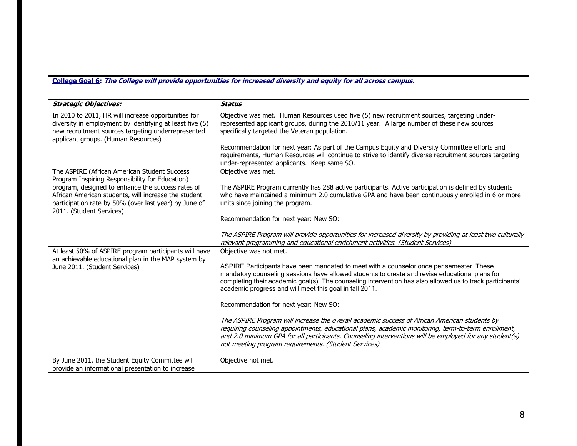# **College Goal 6: The College will provide opportunities for increased diversity and equity for all across campus.**

| <b>Strategic Objectives:</b>                                                                                                                                                                                 | <b>Status</b>                                                                                                                                                                                                                                                                                                                                                          |
|--------------------------------------------------------------------------------------------------------------------------------------------------------------------------------------------------------------|------------------------------------------------------------------------------------------------------------------------------------------------------------------------------------------------------------------------------------------------------------------------------------------------------------------------------------------------------------------------|
| In 2010 to 2011, HR will increase opportunities for<br>diversity in employment by identifying at least five (5)<br>new recruitment sources targeting underrepresented<br>applicant groups. (Human Resources) | Objective was met. Human Resources used five (5) new recruitment sources, targeting under-<br>represented applicant groups, during the 2010/11 year. A large number of these new sources<br>specifically targeted the Veteran population.                                                                                                                              |
|                                                                                                                                                                                                              | Recommendation for next year: As part of the Campus Equity and Diversity Committee efforts and<br>requirements, Human Resources will continue to strive to identify diverse recruitment sources targeting<br>under-represented applicants. Keep same SO.                                                                                                               |
| The ASPIRE (African American Student Success<br>Program Inspiring Responsibility for Education)                                                                                                              | Objective was met.                                                                                                                                                                                                                                                                                                                                                     |
| program, designed to enhance the success rates of<br>African American students, will increase the student<br>participation rate by 50% (over last year) by June of<br>2011. (Student Services)               | The ASPIRE Program currently has 288 active participants. Active participation is defined by students<br>who have maintained a minimum 2.0 cumulative GPA and have been continuously enrolled in 6 or more<br>units since joining the program.                                                                                                                         |
|                                                                                                                                                                                                              | Recommendation for next year: New SO:                                                                                                                                                                                                                                                                                                                                  |
|                                                                                                                                                                                                              | The ASPIRE Program will provide opportunities for increased diversity by providing at least two culturally<br>relevant programming and educational enrichment activities. (Student Services)                                                                                                                                                                           |
| At least 50% of ASPIRE program participants will have<br>an achievable educational plan in the MAP system by<br>June 2011. (Student Services)                                                                | Objective was not met.                                                                                                                                                                                                                                                                                                                                                 |
|                                                                                                                                                                                                              | ASPIRE Participants have been mandated to meet with a counselor once per semester. These<br>mandatory counseling sessions have allowed students to create and revise educational plans for<br>completing their academic goal(s). The counseling intervention has also allowed us to track participants'<br>academic progress and will meet this goal in fall 2011.     |
|                                                                                                                                                                                                              | Recommendation for next year: New SO:                                                                                                                                                                                                                                                                                                                                  |
|                                                                                                                                                                                                              | The ASPIRE Program will increase the overall academic success of African American students by<br>requiring counseling appointments, educational plans, academic monitoring, term-to-term enrollment,<br>and 2.0 minimum GPA for all participants. Counseling interventions will be employed for any student(s)<br>not meeting program requirements. (Student Services) |
| By June 2011, the Student Equity Committee will<br>provide an informational presentation to increase                                                                                                         | Objective not met.                                                                                                                                                                                                                                                                                                                                                     |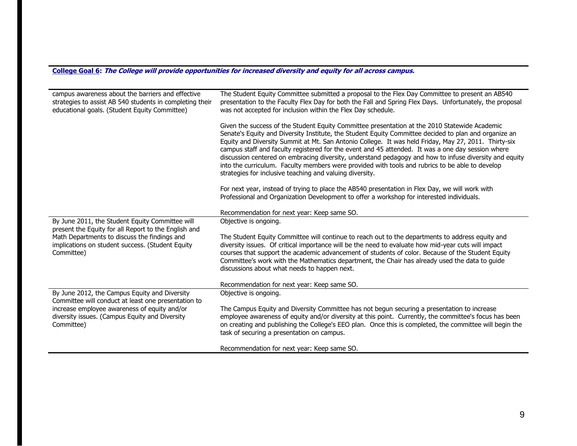# **College Goal 6: The College will provide opportunities for increased diversity and equity for all across campus.**

| campus awareness about the barriers and effective<br>strategies to assist AB 540 students in completing their<br>educational goals. (Student Equity Committee)         | The Student Equity Committee submitted a proposal to the Flex Day Committee to present an AB540<br>presentation to the Faculty Flex Day for both the Fall and Spring Flex Days. Unfortunately, the proposal<br>was not accepted for inclusion within the Flex Day schedule.                                                                                                                                                                                                                                                                                                                                                                                                                  |  |  |
|------------------------------------------------------------------------------------------------------------------------------------------------------------------------|----------------------------------------------------------------------------------------------------------------------------------------------------------------------------------------------------------------------------------------------------------------------------------------------------------------------------------------------------------------------------------------------------------------------------------------------------------------------------------------------------------------------------------------------------------------------------------------------------------------------------------------------------------------------------------------------|--|--|
|                                                                                                                                                                        | Given the success of the Student Equity Committee presentation at the 2010 Statewide Academic<br>Senate's Equity and Diversity Institute, the Student Equity Committee decided to plan and organize an<br>Equity and Diversity Summit at Mt. San Antonio College. It was held Friday, May 27, 2011. Thirty-six<br>campus staff and faculty registered for the event and 45 attended. It was a one day session where<br>discussion centered on embracing diversity, understand pedagogy and how to infuse diversity and equity<br>into the curriculum. Faculty members were provided with tools and rubrics to be able to develop<br>strategies for inclusive teaching and valuing diversity. |  |  |
|                                                                                                                                                                        | For next year, instead of trying to place the AB540 presentation in Flex Day, we will work with<br>Professional and Organization Development to offer a workshop for interested individuals.                                                                                                                                                                                                                                                                                                                                                                                                                                                                                                 |  |  |
|                                                                                                                                                                        | Recommendation for next year: Keep same SO.                                                                                                                                                                                                                                                                                                                                                                                                                                                                                                                                                                                                                                                  |  |  |
| By June 2011, the Student Equity Committee will                                                                                                                        | Objective is ongoing.                                                                                                                                                                                                                                                                                                                                                                                                                                                                                                                                                                                                                                                                        |  |  |
| present the Equity for all Report to the English and<br>Math Departments to discuss the findings and<br>implications on student success. (Student Equity<br>Committee) | The Student Equity Committee will continue to reach out to the departments to address equity and<br>diversity issues. Of critical importance will be the need to evaluate how mid-year cuts will impact<br>courses that support the academic advancement of students of color. Because of the Student Equity<br>Committee's work with the Mathematics department, the Chair has already used the data to guide<br>discussions about what needs to happen next.                                                                                                                                                                                                                               |  |  |
|                                                                                                                                                                        | Recommendation for next year: Keep same SO.                                                                                                                                                                                                                                                                                                                                                                                                                                                                                                                                                                                                                                                  |  |  |
| By June 2012, the Campus Equity and Diversity<br>Committee will conduct at least one presentation to                                                                   | Objective is ongoing.                                                                                                                                                                                                                                                                                                                                                                                                                                                                                                                                                                                                                                                                        |  |  |
| increase employee awareness of equity and/or<br>diversity issues. (Campus Equity and Diversity<br>Committee)                                                           | The Campus Equity and Diversity Committee has not begun securing a presentation to increase<br>employee awareness of equity and/or diversity at this point. Currently, the committee's focus has been<br>on creating and publishing the College's EEO plan. Once this is completed, the committee will begin the<br>task of securing a presentation on campus.                                                                                                                                                                                                                                                                                                                               |  |  |
|                                                                                                                                                                        | Recommendation for next year: Keep same SO.                                                                                                                                                                                                                                                                                                                                                                                                                                                                                                                                                                                                                                                  |  |  |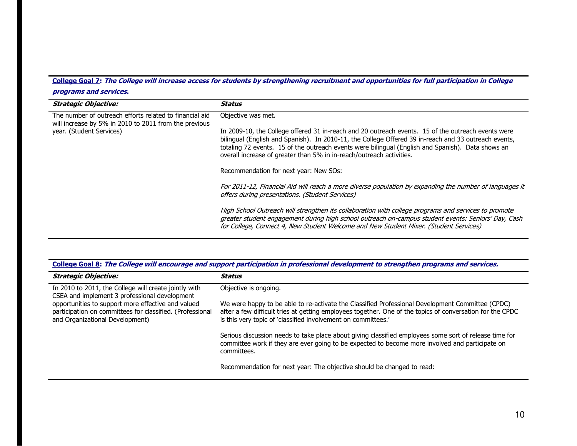# **College Goal 7: The College will increase access for students by strengthening recruitment and opportunities for full participation in College**

# **programs and services.**

| <b>Strategic Objective:</b>                                                                                                                  | Status                                                                                                                                                                                                                                                                                                                                                                                  |
|----------------------------------------------------------------------------------------------------------------------------------------------|-----------------------------------------------------------------------------------------------------------------------------------------------------------------------------------------------------------------------------------------------------------------------------------------------------------------------------------------------------------------------------------------|
| The number of outreach efforts related to financial aid<br>will increase by 5% in 2010 to 2011 from the previous<br>year. (Student Services) | Objective was met.                                                                                                                                                                                                                                                                                                                                                                      |
|                                                                                                                                              | In 2009-10, the College offered 31 in-reach and 20 outreach events. 15 of the outreach events were<br>bilingual (English and Spanish). In 2010-11, the College Offered 39 in-reach and 33 outreach events,<br>totaling 72 events. 15 of the outreach events were bilingual (English and Spanish). Data shows an<br>overall increase of greater than 5% in in-reach/outreach activities. |
|                                                                                                                                              | Recommendation for next year: New SOs:                                                                                                                                                                                                                                                                                                                                                  |
|                                                                                                                                              | For 2011-12, Financial Aid will reach a more diverse population by expanding the number of languages it<br>offers during presentations. (Student Services)                                                                                                                                                                                                                              |
|                                                                                                                                              | High School Outreach will strengthen its collaboration with college programs and services to promote<br>greater student engagement during high school outreach on-campus student events: Seniors' Day, Cash<br>for College, Connect 4, New Student Welcome and New Student Mixer. (Student Services)                                                                                    |

|  |  |  | College Goal 8: The College will encourage and support participation in professional development to strengthen programs and services. |
|--|--|--|---------------------------------------------------------------------------------------------------------------------------------------|
|  |  |  |                                                                                                                                       |
|  |  |  |                                                                                                                                       |

| <b>Strategic Objective:</b>                                                                                                                        | Status                                                                                                                                                                                                                                                                         |
|----------------------------------------------------------------------------------------------------------------------------------------------------|--------------------------------------------------------------------------------------------------------------------------------------------------------------------------------------------------------------------------------------------------------------------------------|
| In 2010 to 2011, the College will create jointly with<br>CSEA and implement 3 professional development                                             | Objective is ongoing.                                                                                                                                                                                                                                                          |
| opportunities to support more effective and valued<br>participation on committees for classified. (Professional<br>and Organizational Development) | We were happy to be able to re-activate the Classified Professional Development Committee (CPDC)<br>after a few difficult tries at getting employees together. One of the topics of conversation for the CPDC<br>is this very topic of 'classified involvement on committees.' |
|                                                                                                                                                    | Serious discussion needs to take place about giving classified employees some sort of release time for<br>committee work if they are ever going to be expected to become more involved and participate on<br>committees.                                                       |
|                                                                                                                                                    | Recommendation for next year: The objective should be changed to read:                                                                                                                                                                                                         |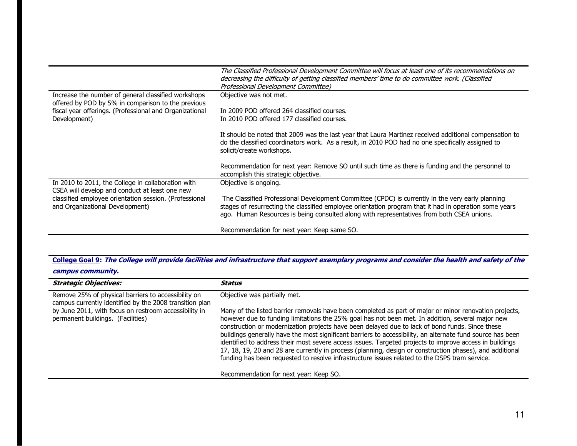|                                                                                                           | The Classified Professional Development Committee will focus at least one of its recommendations on<br>decreasing the difficulty of getting classified members' time to do committee work. (Classified<br>Professional Development Committee) |
|-----------------------------------------------------------------------------------------------------------|-----------------------------------------------------------------------------------------------------------------------------------------------------------------------------------------------------------------------------------------------|
| Increase the number of general classified workshops<br>offered by POD by 5% in comparison to the previous | Objective was not met.                                                                                                                                                                                                                        |
| fiscal year offerings. (Professional and Organizational                                                   | In 2009 POD offered 264 classified courses.                                                                                                                                                                                                   |
| Development)                                                                                              | In 2010 POD offered 177 classified courses.                                                                                                                                                                                                   |
|                                                                                                           | It should be noted that 2009 was the last year that Laura Martinez received additional compensation to<br>do the classified coordinators work. As a result, in 2010 POD had no one specifically assigned to<br>solicit/create workshops.      |
|                                                                                                           | Recommendation for next year: Remove SO until such time as there is funding and the personnel to<br>accomplish this strategic objective.                                                                                                      |
| In 2010 to 2011, the College in collaboration with<br>CSEA will develop and conduct at least one new      | Objective is ongoing.                                                                                                                                                                                                                         |
| classified employee orientation session. (Professional                                                    | The Classified Professional Development Committee (CPDC) is currently in the very early planning                                                                                                                                              |
| and Organizational Development)                                                                           | stages of resurrecting the classified employee orientation program that it had in operation some years<br>ago. Human Resources is being consulted along with representatives from both CSEA unions.                                           |
|                                                                                                           | Recommendation for next year: Keep same SO.                                                                                                                                                                                                   |

# **College Goal 9: The College will provide facilities and infrastructure that support exemplary programs and consider the health and safety of the**

# **campus community.**

| <b>Strategic Objectives:</b>                                                                                                                                                                                 | Status                                                                                                                                                                                                                                                                                                                                                                                                                                                                                                                                                                                                                                                                                                                                                                                                                        |
|--------------------------------------------------------------------------------------------------------------------------------------------------------------------------------------------------------------|-------------------------------------------------------------------------------------------------------------------------------------------------------------------------------------------------------------------------------------------------------------------------------------------------------------------------------------------------------------------------------------------------------------------------------------------------------------------------------------------------------------------------------------------------------------------------------------------------------------------------------------------------------------------------------------------------------------------------------------------------------------------------------------------------------------------------------|
| Remove 25% of physical barriers to accessibility on<br>campus currently identified by the 2008 transition plan<br>by June 2011, with focus on restroom accessibility in<br>permanent buildings. (Facilities) | Objective was partially met.<br>Many of the listed barrier removals have been completed as part of major or minor renovation projects,<br>however due to funding limitations the 25% goal has not been met. In addition, several major new<br>construction or modernization projects have been delayed due to lack of bond funds. Since these<br>buildings generally have the most significant barriers to accessibility, an alternate fund source has been<br>identified to address their most severe access issues. Targeted projects to improve access in buildings<br>17, 18, 19, 20 and 28 are currently in process (planning, design or construction phases), and additional<br>funding has been requested to resolve infrastructure issues related to the DSPS tram service.<br>Recommendation for next year: Keep SO. |
|                                                                                                                                                                                                              |                                                                                                                                                                                                                                                                                                                                                                                                                                                                                                                                                                                                                                                                                                                                                                                                                               |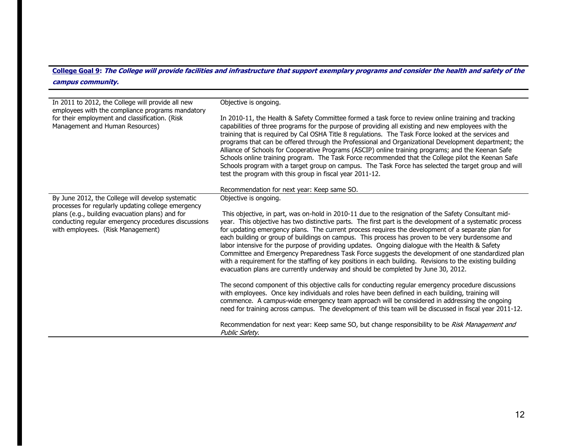# **College Goal 9: The College will provide facilities and infrastructure that support exemplary programs and consider the health and safety of the campus community.**

| In 2011 to 2012, the College will provide all new<br>employees with the compliance programs mandatory<br>for their employment and classification. (Risk<br>Management and Human Resources)                                                             | Objective is ongoing.<br>In 2010-11, the Health & Safety Committee formed a task force to review online training and tracking<br>capabilities of three programs for the purpose of providing all existing and new employees with the<br>training that is required by Cal OSHA Title 8 regulations. The Task Force looked at the services and<br>programs that can be offered through the Professional and Organizational Development department; the<br>Alliance of Schools for Cooperative Programs (ASCIP) online training programs; and the Keenan Safe<br>Schools online training program. The Task Force recommended that the College pilot the Keenan Safe<br>Schools program with a target group on campus. The Task Force has selected the target group and will<br>test the program with this group in fiscal year 2011-12.                                                                                                                                                                                                                                                                                                                                                                                                                                                |
|--------------------------------------------------------------------------------------------------------------------------------------------------------------------------------------------------------------------------------------------------------|-------------------------------------------------------------------------------------------------------------------------------------------------------------------------------------------------------------------------------------------------------------------------------------------------------------------------------------------------------------------------------------------------------------------------------------------------------------------------------------------------------------------------------------------------------------------------------------------------------------------------------------------------------------------------------------------------------------------------------------------------------------------------------------------------------------------------------------------------------------------------------------------------------------------------------------------------------------------------------------------------------------------------------------------------------------------------------------------------------------------------------------------------------------------------------------------------------------------------------------------------------------------------------------|
|                                                                                                                                                                                                                                                        | Recommendation for next year: Keep same SO.                                                                                                                                                                                                                                                                                                                                                                                                                                                                                                                                                                                                                                                                                                                                                                                                                                                                                                                                                                                                                                                                                                                                                                                                                                         |
| By June 2012, the College will develop systematic<br>processes for regularly updating college emergency<br>plans (e.g., building evacuation plans) and for<br>conducting regular emergency procedures discussions<br>with employees. (Risk Management) | Objective is ongoing.<br>This objective, in part, was on-hold in 2010-11 due to the resignation of the Safety Consultant mid-<br>year. This objective has two distinctive parts. The first part is the development of a systematic process<br>for updating emergency plans. The current process requires the development of a separate plan for<br>each building or group of buildings on campus. This process has proven to be very burdensome and<br>labor intensive for the purpose of providing updates. Ongoing dialogue with the Health & Safety<br>Committee and Emergency Preparedness Task Force suggests the development of one standardized plan<br>with a requirement for the staffing of key positions in each building. Revisions to the existing building<br>evacuation plans are currently underway and should be completed by June 30, 2012.<br>The second component of this objective calls for conducting regular emergency procedure discussions<br>with employees. Once key individuals and roles have been defined in each building, training will<br>commence. A campus-wide emergency team approach will be considered in addressing the ongoing<br>need for training across campus. The development of this team will be discussed in fiscal year 2011-12. |
|                                                                                                                                                                                                                                                        | Recommendation for next year: Keep same SO, but change responsibility to be Risk Management and<br>Public Safety.                                                                                                                                                                                                                                                                                                                                                                                                                                                                                                                                                                                                                                                                                                                                                                                                                                                                                                                                                                                                                                                                                                                                                                   |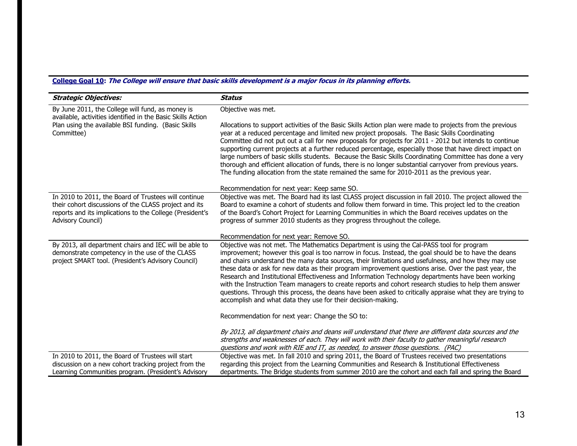# **College Goal 10: The College will ensure that basic skills development is a major focus in its planning efforts.**

| <b>Strategic Objectives:</b>                                                                                                                                                                   | <b>Status</b>                                                                                                                                                                                                                                                                                                                                                                                                                                                                                                                                                                                                                                                                                                                                                                                             |
|------------------------------------------------------------------------------------------------------------------------------------------------------------------------------------------------|-----------------------------------------------------------------------------------------------------------------------------------------------------------------------------------------------------------------------------------------------------------------------------------------------------------------------------------------------------------------------------------------------------------------------------------------------------------------------------------------------------------------------------------------------------------------------------------------------------------------------------------------------------------------------------------------------------------------------------------------------------------------------------------------------------------|
| By June 2011, the College will fund, as money is<br>available, activities identified in the Basic Skills Action                                                                                | Objective was met.                                                                                                                                                                                                                                                                                                                                                                                                                                                                                                                                                                                                                                                                                                                                                                                        |
| Plan using the available BSI funding. (Basic Skills<br>Committee)                                                                                                                              | Allocations to support activities of the Basic Skills Action plan were made to projects from the previous<br>year at a reduced percentage and limited new project proposals. The Basic Skills Coordinating<br>Committee did not put out a call for new proposals for projects for 2011 - 2012 but intends to continue<br>supporting current projects at a further reduced percentage, especially those that have direct impact on<br>large numbers of basic skills students. Because the Basic Skills Coordinating Committee has done a very<br>thorough and efficient allocation of funds, there is no longer substantial carryover from previous years.<br>The funding allocation from the state remained the same for 2010-2011 as the previous year.                                                  |
|                                                                                                                                                                                                | Recommendation for next year: Keep same SO.                                                                                                                                                                                                                                                                                                                                                                                                                                                                                                                                                                                                                                                                                                                                                               |
| In 2010 to 2011, the Board of Trustees will continue<br>their cohort discussions of the CLASS project and its<br>reports and its implications to the College (President's<br>Advisory Council) | Objective was met. The Board had its last CLASS project discussion in fall 2010. The project allowed the<br>Board to examine a cohort of students and follow them forward in time. This project led to the creation<br>of the Board's Cohort Project for Learning Communities in which the Board receives updates on the<br>progress of summer 2010 students as they progress throughout the college.                                                                                                                                                                                                                                                                                                                                                                                                     |
|                                                                                                                                                                                                | Recommendation for next year: Remove SO.                                                                                                                                                                                                                                                                                                                                                                                                                                                                                                                                                                                                                                                                                                                                                                  |
| By 2013, all department chairs and IEC will be able to<br>demonstrate competency in the use of the CLASS<br>project SMART tool. (President's Advisory Council)                                 | Objective was not met. The Mathematics Department is using the Cal-PASS tool for program<br>improvement; however this goal is too narrow in focus. Instead, the goal should be to have the deans<br>and chairs understand the many data sources, their limitations and usefulness, and how they may use<br>these data or ask for new data as their program improvement questions arise. Over the past year, the<br>Research and Institutional Effectiveness and Information Technology departments have been working<br>with the Instruction Team managers to create reports and cohort research studies to help them answer<br>questions. Through this process, the deans have been asked to critically appraise what they are trying to<br>accomplish and what data they use for their decision-making. |
|                                                                                                                                                                                                | Recommendation for next year: Change the SO to:                                                                                                                                                                                                                                                                                                                                                                                                                                                                                                                                                                                                                                                                                                                                                           |
|                                                                                                                                                                                                | By 2013, all department chairs and deans will understand that there are different data sources and the<br>strengths and weaknesses of each. They will work with their faculty to gather meaningful research<br>questions and work with RIE and IT, as needed, to answer those questions. (PAC)                                                                                                                                                                                                                                                                                                                                                                                                                                                                                                            |
| In 2010 to 2011, the Board of Trustees will start                                                                                                                                              | Objective was met. In fall 2010 and spring 2011, the Board of Trustees received two presentations                                                                                                                                                                                                                                                                                                                                                                                                                                                                                                                                                                                                                                                                                                         |
| discussion on a new cohort tracking project from the<br>Learning Communities program. (President's Advisory                                                                                    | regarding this project from the Learning Communities and Research & Institutional Effectiveness<br>departments. The Bridge students from summer 2010 are the cohort and each fall and spring the Board                                                                                                                                                                                                                                                                                                                                                                                                                                                                                                                                                                                                    |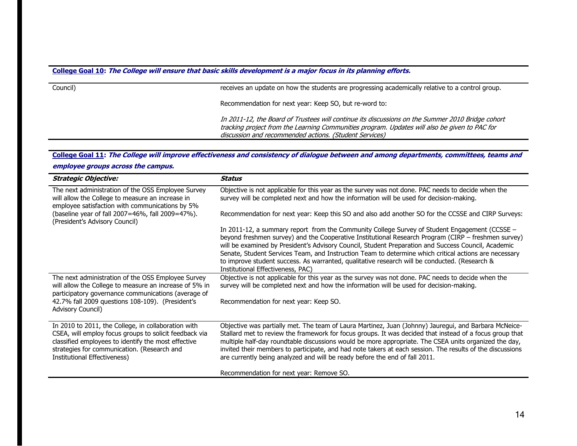#### **College Goal 10: The College will ensure that basic skills development is a major focus in its planning efforts.**

| Council) | receives an update on how the students are progressing academically relative to a control group.                                                                                                                                                            |
|----------|-------------------------------------------------------------------------------------------------------------------------------------------------------------------------------------------------------------------------------------------------------------|
|          | Recommendation for next year: Keep SO, but re-word to:                                                                                                                                                                                                      |
|          | In 2011-12, the Board of Trustees will continue its discussions on the Summer 2010 Bridge cohort<br>tracking project from the Learning Communities program. Updates will also be given to PAC for<br>discussion and recommended actions. (Student Services) |

# **College Goal 11: The College will improve effectiveness and consistency of dialogue between and among departments, committees, teams and**

**employee groups across the campus.** 

| <b>Strategic Objective:</b>                                                                                                                                                                                                                         | Status                                                                                                                                                                                                                                                                                                                                                                                                                                                                                                                                                     |
|-----------------------------------------------------------------------------------------------------------------------------------------------------------------------------------------------------------------------------------------------------|------------------------------------------------------------------------------------------------------------------------------------------------------------------------------------------------------------------------------------------------------------------------------------------------------------------------------------------------------------------------------------------------------------------------------------------------------------------------------------------------------------------------------------------------------------|
| The next administration of the OSS Employee Survey<br>will allow the College to measure an increase in<br>employee satisfaction with communications by 5%<br>(baseline year of fall 2007=46%, fall 2009=47%).                                       | Objective is not applicable for this year as the survey was not done. PAC needs to decide when the<br>survey will be completed next and how the information will be used for decision-making.<br>Recommendation for next year: Keep this SO and also add another SO for the CCSSE and CIRP Surveys:                                                                                                                                                                                                                                                        |
| (President's Advisory Council)                                                                                                                                                                                                                      |                                                                                                                                                                                                                                                                                                                                                                                                                                                                                                                                                            |
|                                                                                                                                                                                                                                                     | In 2011-12, a summary report from the Community College Survey of Student Engagement (CCSSE -<br>beyond freshmen survey) and the Cooperative Institutional Research Program (CIRP – freshmen survey)<br>will be examined by President's Advisory Council, Student Preparation and Success Council, Academic<br>Senate, Student Services Team, and Instruction Team to determine which critical actions are necessary<br>to improve student success. As warranted, qualitative research will be conducted. (Research &<br>Institutional Effectiveness, PAC) |
| The next administration of the OSS Employee Survey<br>will allow the College to measure an increase of 5% in                                                                                                                                        | Objective is not applicable for this year as the survey was not done. PAC needs to decide when the<br>survey will be completed next and how the information will be used for decision-making.                                                                                                                                                                                                                                                                                                                                                              |
| participatory governance communications (average of<br>42.7% fall 2009 questions 108-109). (President's<br>Advisory Council)                                                                                                                        | Recommendation for next year: Keep SO.                                                                                                                                                                                                                                                                                                                                                                                                                                                                                                                     |
| In 2010 to 2011, the College, in collaboration with<br>CSEA, will employ focus groups to solicit feedback via<br>classified employees to identify the most effective<br>strategies for communication. (Research and<br>Institutional Effectiveness) | Objective was partially met. The team of Laura Martinez, Juan (Johnny) Jauregui, and Barbara McNeice-<br>Stallard met to review the framework for focus groups. It was decided that instead of a focus group that<br>multiple half-day roundtable discussions would be more appropriate. The CSEA units organized the day,<br>invited their members to participate, and had note takers at each session. The results of the discussions<br>are currently being analyzed and will be ready before the end of fall 2011.                                     |
|                                                                                                                                                                                                                                                     | Recommendation for next year: Remove SO.                                                                                                                                                                                                                                                                                                                                                                                                                                                                                                                   |
|                                                                                                                                                                                                                                                     |                                                                                                                                                                                                                                                                                                                                                                                                                                                                                                                                                            |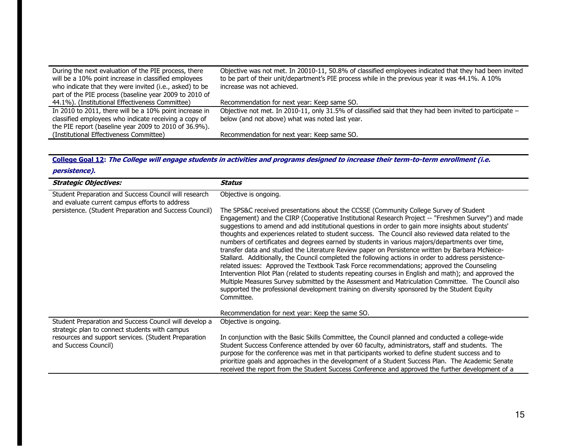| During the next evaluation of the PIE process, there    | Objective was not met. In 20010-11, 50.8% of classified employees indicated that they had been invited     |
|---------------------------------------------------------|------------------------------------------------------------------------------------------------------------|
| will be a 10% point increase in classified employees    | to be part of their unit/department's PIE process while in the previous year it was 44.1%. A 10%           |
| who indicate that they were invited (i.e., asked) to be | increase was not achieved.                                                                                 |
| part of the PIE process (baseline year 2009 to 2010 of  |                                                                                                            |
| 44.1%). (Institutional Effectiveness Committee)         | Recommendation for next year: Keep same SO.                                                                |
| In 2010 to 2011, there will be a 10% point increase in  | Objective not met. In 2010-11, only 31.5% of classified said that they had been invited to participate $-$ |
| classified employees who indicate receiving a copy of   | below (and not above) what was noted last year.                                                            |
| the PIE report (baseline year 2009 to 2010 of 36.9%).   |                                                                                                            |
| (Institutional Effectiveness Committee)                 | Recommendation for next year: Keep same SO.                                                                |

**College Goal 12: The College will engage students in activities and programs designed to increase their term-to-term enrollment (i.e.** 

**persistence).** 

| <b>Strategic Objectives:</b>                                                                             | Status                                                                                                                                                                                                                                                                                                                                                                                                                                                                                                                                                                                                                                                                                                                                                                                                                                                                                                                                                                                                                                                                                                                                             |
|----------------------------------------------------------------------------------------------------------|----------------------------------------------------------------------------------------------------------------------------------------------------------------------------------------------------------------------------------------------------------------------------------------------------------------------------------------------------------------------------------------------------------------------------------------------------------------------------------------------------------------------------------------------------------------------------------------------------------------------------------------------------------------------------------------------------------------------------------------------------------------------------------------------------------------------------------------------------------------------------------------------------------------------------------------------------------------------------------------------------------------------------------------------------------------------------------------------------------------------------------------------------|
| Student Preparation and Success Council will research<br>and evaluate current campus efforts to address  | Objective is ongoing.                                                                                                                                                                                                                                                                                                                                                                                                                                                                                                                                                                                                                                                                                                                                                                                                                                                                                                                                                                                                                                                                                                                              |
| persistence. (Student Preparation and Success Council)                                                   | The SPS&C received presentations about the CCSSE (Community College Survey of Student<br>Engagement) and the CIRP (Cooperative Institutional Research Project -- "Freshmen Survey") and made<br>suggestions to amend and add institutional questions in order to gain more insights about students'<br>thoughts and experiences related to student success. The Council also reviewed data related to the<br>numbers of certificates and degrees earned by students in various majors/departments over time,<br>transfer data and studied the Literature Review paper on Persistence written by Barbara McNeice-<br>Stallard. Additionally, the Council completed the following actions in order to address persistence-<br>related issues: Approved the Textbook Task Force recommendations; approved the Counseling<br>Intervention Pilot Plan (related to students repeating courses in English and math); and approved the<br>Multiple Measures Survey submitted by the Assessment and Matriculation Committee. The Council also<br>supported the professional development training on diversity sponsored by the Student Equity<br>Committee. |
|                                                                                                          | Recommendation for next year: Keep the same SO.                                                                                                                                                                                                                                                                                                                                                                                                                                                                                                                                                                                                                                                                                                                                                                                                                                                                                                                                                                                                                                                                                                    |
| Student Preparation and Success Council will develop a<br>strategic plan to connect students with campus | Objective is ongoing.                                                                                                                                                                                                                                                                                                                                                                                                                                                                                                                                                                                                                                                                                                                                                                                                                                                                                                                                                                                                                                                                                                                              |
| resources and support services. (Student Preparation<br>and Success Council)                             | In conjunction with the Basic Skills Committee, the Council planned and conducted a college-wide<br>Student Success Conference attended by over 60 faculty, administrators, staff and students. The<br>purpose for the conference was met in that participants worked to define student success and to<br>prioritize goals and approaches in the development of a Student Success Plan. The Academic Senate<br>received the report from the Student Success Conference and approved the further development of a                                                                                                                                                                                                                                                                                                                                                                                                                                                                                                                                                                                                                                   |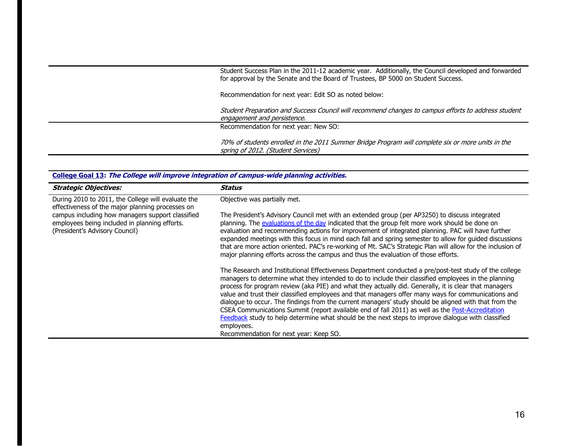Student Success Plan in the 2011-12 academic year. Additionally, the Council developed and forwarded for approval by the Senate and the Board of Trustees, BP 5000 on Student Success.

Recommendation for next year: Edit SO as noted below:

 Student Preparation and Success Council will recommend changes to campus efforts to address student engagement and persistence.

Recommendation for next year: New SO:

 70% of students enrolled in the 2011 Summer Bridge Program will complete six or more units in the spring of 2012. (Student Services)

| <u>College Goal 15</u> : The College Will improve integration of Campus-Wide planning activities.                                   |                                                                                                                                                                                                                                                                                                                                                                                                                                                                                                                                                                                                                                                                                                                                                                                                           |
|-------------------------------------------------------------------------------------------------------------------------------------|-----------------------------------------------------------------------------------------------------------------------------------------------------------------------------------------------------------------------------------------------------------------------------------------------------------------------------------------------------------------------------------------------------------------------------------------------------------------------------------------------------------------------------------------------------------------------------------------------------------------------------------------------------------------------------------------------------------------------------------------------------------------------------------------------------------|
| <b>Strategic Objectives:</b>                                                                                                        | Status                                                                                                                                                                                                                                                                                                                                                                                                                                                                                                                                                                                                                                                                                                                                                                                                    |
| During 2010 to 2011, the College will evaluate the<br>effectiveness of the major planning processes on                              | Objective was partially met.                                                                                                                                                                                                                                                                                                                                                                                                                                                                                                                                                                                                                                                                                                                                                                              |
| campus including how managers support classified<br>employees being included in planning efforts.<br>(President's Advisory Council) | The President's Advisory Council met with an extended group (per AP3250) to discuss integrated<br>planning. The evaluations of the day indicated that the group felt more work should be done on<br>evaluation and recommending actions for improvement of integrated planning. PAC will have further<br>expanded meetings with this focus in mind each fall and spring semester to allow for guided discussions<br>that are more action oriented. PAC's re-working of Mt. SAC's Strategic Plan will allow for the inclusion of<br>major planning efforts across the campus and thus the evaluation of those efforts.                                                                                                                                                                                     |
|                                                                                                                                     | The Research and Institutional Effectiveness Department conducted a pre/post-test study of the college<br>managers to determine what they intended to do to include their classified employees in the planning<br>process for program review (aka PIE) and what they actually did. Generally, it is clear that managers<br>value and trust their classified employees and that managers offer many ways for communications and<br>dialogue to occur. The findings from the current managers' study should be aligned with that from the<br>CSEA Communications Summit (report available end of fall 2011) as well as the Post-Accreditation<br>Feedback study to help determine what should be the next steps to improve dialogue with classified<br>employees.<br>Recommendation for next year: Keep SO. |

**College Goal 13: The College will improve integration of campus-wide planning activities.**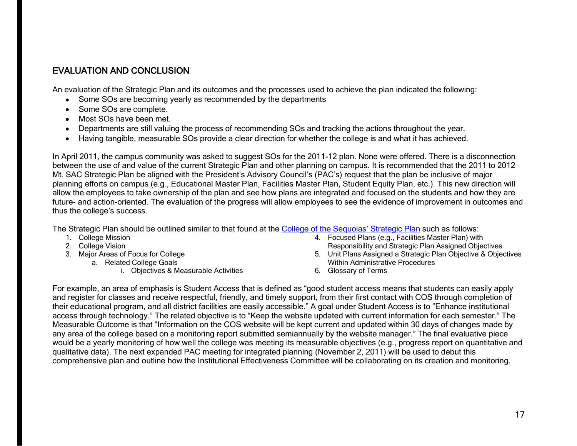# EVALUATION AND CONCLUSION

An evaluation of the Strategic Plan and its outcomes and the processes used to achieve the plan indicated the following:

- Some SOs are becoming yearly as recommended by the departments
- Some SOs are complete.
- Some SOs are complete.<br>Most SOs have been met.
- Departments are still valuing the process of recommending SOs and tracking the actions throughout the year.
- Having tangible, measurable SOs provide a clear direction for whether the college is and what it has achieved.  $\bullet$

 In April 2011, the campus community was asked to suggest SOs for the 2011-12 plan. None were offered. There is a disconnection between the use of and value of the current Strategic Plan and other planning on campus. It is recommended that the 2011 to 2012 Mt. SAC Strategic Plan be aligned with the President's Advisory Council's (PAC's) request that the plan be inclusive of major planning efforts on campus (e.g., Educational Master Plan, Facilities Master Plan, Student Equity Plan, etc.). This new direction will allow the employees to take ownership of the plan and see how plans are integrated and focused on the students and how they are future- and action-oriented. The evaluation of the progress will allow employees to see the evidence of improvement in outcomes and thus the college's success.

The Strategic Plan should be outlined similar to that found at the [College of the Sequoia](http://www.cos.edu/About/Research/Documents/COS%20Strategic%20Plan.pdf)s' Strategic Plan such as follows:

- 
- 
- 3. Major Areas of Focus for College
	- - i. Objectives & Measurable Activities
- 1. College Mission **1. College Mission** 4. Focused Plans (e.g., Facilities Master Plan) with 2. College Vision **Responsibility and Strategic Plan Assigned Objectives** 
	- 5. Unit Plans Assigned a Strategic Plan Objective & Objectives a. Related College Goals<br>
	i. Objectives & Measurable Activities<br>
	6. Glossary of Terms<br>
	i. Objectives & Measurable Activities<br> **6. Glossary of Terms** 
		-

 For example, an area of emphasis is Student Access that is defined as "good student access means that students can easily apply and register for classes and receive respectful, friendly, and timely support, from their first contact with COS through completion of their educational program, and all district facilities are easily accessible." A goal under Student Access is to "Enhance institutional access through technology." The related objective is to "Keep the website updated with current information for each semester." The Measurable Outcome is that "Information on the COS website will be kept current and updated within 30 days of changes made by any area of the college based on a monitoring report submitted semiannually by the website manager." The final evaluative piece would be a yearly monitoring of how well the college was meeting its measurable objectives (e.g., progress report on quantitative and qualitative data). The next expanded PAC meeting for integrated planning (November 2, 2011) will be used to debut this comprehensive plan and outline how the Institutional Effectiveness Committee will be collaborating on its creation and monitoring.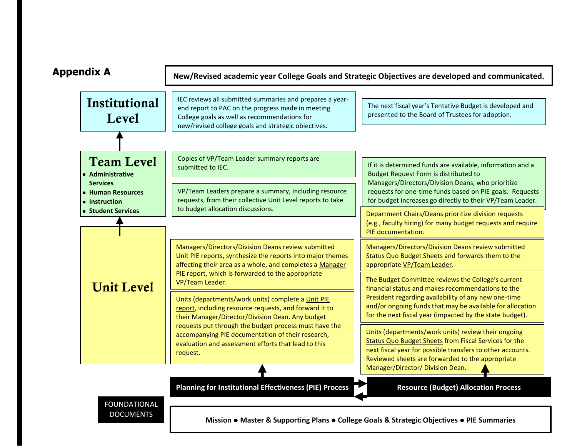

18 **Mission** ● **Master & Supporting Plans** ● **College Goals & Strategic Objectives** ● **PIE Summaries**